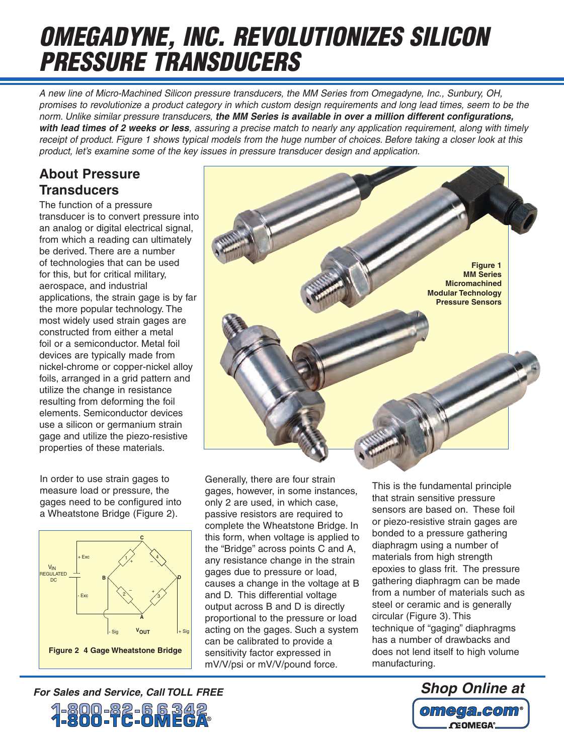# *OMEGADYNE, INC. REVOLUTIONIZES SILICON PRESSURE TRANSDUCERS*

*A new line of Micro-Machined Silicon pressure transducers, the MM Series from Omegadyne, Inc., Sunbury, OH, promises to revolutionize a product category in which custom design requirements and long lead times, seem to be the norm. Unlike similar pressure transducers, the MM Series is available in over a million different configurations, with lead times of 2 weeks or less, assuring a precise match to nearly any application requirement, along with timely receipt of product. Figure 1 shows typical models from the huge number of choices. Before taking a closer look at this product, let's examine some of the key issues in pressure transducer design and application.*

#### **About Pressure Transducers**

The function of a pressure transducer is to convert pressure into an analog or digital electrical signal, from which a reading can ultimately be derived. There are a number of technologies that can be used for this, but for critical military, aerospace, and industrial applications, the strain gage is by far the more popular technology. The most widely used strain gages are constructed from either a metal foil or a semiconductor. Metal foil devices are typically made from nickel-chrome or copper-nickel alloy foils, arranged in a grid pattern and utilize the change in resistance resulting from deforming the foil elements. Semiconductor devices use a silicon or germanium strain gage and utilize the piezo-resistive properties of these materials.

In order to use strain gages to measure load or pressure, the gages need to be configured into a Wheatstone Bridge (Figure 2).





Generally, there are four strain gages, however, in some instances, only 2 are used, in which case, passive resistors are required to complete the Wheatstone Bridge. In this form, when voltage is applied to the "Bridge" across points C and A, any resistance change in the strain gages due to pressure or load, causes a change in the voltage at B and D. This differential voltage output across B and D is directly proportional to the pressure or load acting on the gages. Such a system can be calibrated to provide a sensitivity factor expressed in mV/V/psi or mV/V/pound force.

This is the fundamental principle that strain sensitive pressure sensors are based on. These foil or piezo-resistive strain gages are bonded to a pressure gathering diaphragm using a number of materials from high strength epoxies to glass frit. The pressure gathering diaphragm can be made from a number of materials such as steel or ceramic and is generally circular (Figure 3). This technique of "gaging" diaphragms has a number of drawbacks and does not lend itself to high volume manufacturing.



## For Sales and Service, Call TOLL FREE Shop Online at **Shop Online at**

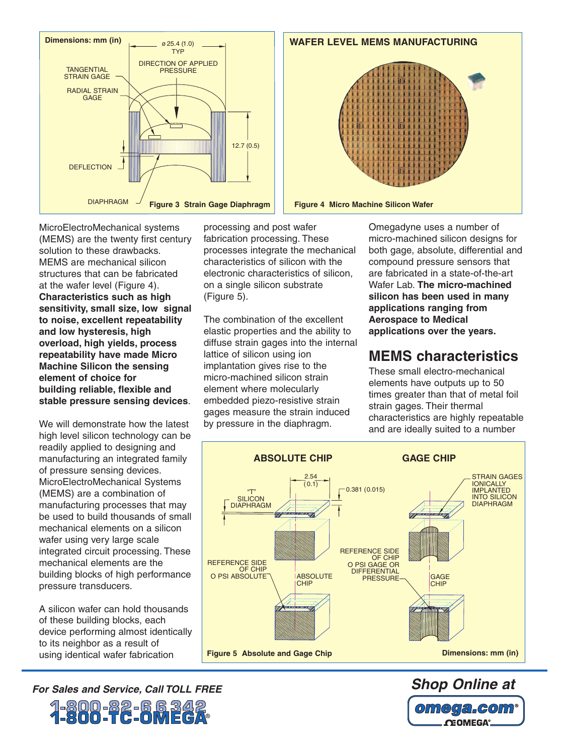



MicroElectroMechanical systems (MEMS) are the twenty first century solution to these drawbacks. MEMS are mechanical silicon structures that can be fabricated at the wafer level (Figure 4). **Characteristics such as high sensitivity, small size, low signal to noise, excellent repeatability and low hysteresis, high overload, high yields, process repeatability have made Micro Machine Silicon the sensing element of choice for building reliable, flexible and stable pressure sensing devices**.

We will demonstrate how the latest high level silicon technology can be readily applied to designing and manufacturing an integrated family of pressure sensing devices. MicroElectroMechanical Systems (MEMS) are a combination of manufacturing processes that may be used to build thousands of small mechanical elements on a silicon wafer using very large scale integrated circuit processing. These mechanical elements are the building blocks of high performance pressure transducers.

A silicon wafer can hold thousands of these building blocks, each device performing almost identically to its neighbor as a result of using identical wafer fabrication

*For Sales and Service, Call TOLL FREE* 1-800-82-66342<br>**1-800-TC-0MEGA** 

processing and post wafer fabrication processing. These processes integrate the mechanical characteristics of silicon with the electronic characteristics of silicon, on a single silicon substrate (Figure 5).

The combination of the excellent elastic properties and the ability to diffuse strain gages into the internal lattice of silicon using ion implantation gives rise to the micro-machined silicon strain element where molecularly embedded piezo-resistive strain gages measure the strain induced by pressure in the diaphragm.

Omegadyne uses a number of micro-machined silicon designs for both gage, absolute, differential and compound pressure sensors that are fabricated in a state-of-the-art Wafer Lab. **The micro-machined silicon has been used in many applications ranging from Aerospace to Medical applications over the years.**

#### **MEMS characteristics**

These small electro-mechanical elements have outputs up to 50 times greater than that of metal foil strain gages. Their thermal characteristics are highly repeatable and are ideally suited to a number



*Shop Online at*  omega.com® **OEOMEGA®**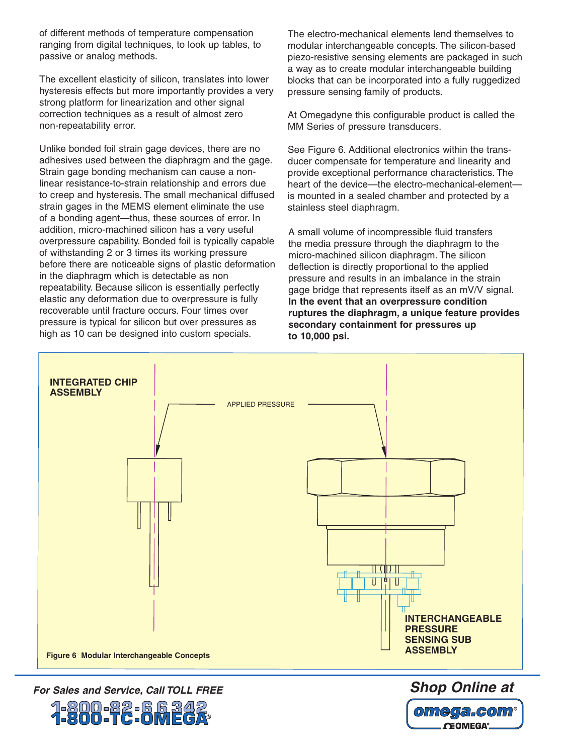of different methods of temperature compensation ranging from digital techniques, to look up tables, to passive or analog methods.

The excellent elasticity of silicon, translates into lower hysteresis effects but more importantly provides a very strong platform for linearization and other signal correction techniques as a result of almost zero non-repeatability error.

Unlike bonded foil strain gage devices, there are no adhesives used between the diaphragm and the gage. Strain gage bonding mechanism can cause a nonlinear resistance-to-strain relationship and errors due to creep and hysteresis. The small mechanical diffused strain gages in the MEMS element eliminate the use of a bonding agent—thus, these sources of error. In addition, micro-machined silicon has a very useful overpressure capability. Bonded foil is typically capable of withstanding 2 or 3 times its working pressure before there are noticeable signs of plastic deformation in the diaphragm which is detectable as non repeatability. Because silicon is essentially perfectly elastic any deformation due to overpressure is fully recoverable until fracture occurs. Four times over pressure is typical for silicon but over pressures as high as 10 can be designed into custom specials.

The electro-mechanical elements lend themselves to modular interchangeable concepts. The silicon-based piezo-resistive sensing elements are packaged in such a way as to create modular interchangeable building blocks that can be incorporated into a fully ruggedized pressure sensing family of products.

At Omegadyne this configurable product is called the MM Series of pressure transducers.

See Figure 6. Additional electronics within the transducer compensate for temperature and linearity and provide exceptional performance characteristics. The heart of the device—the electro-mechanical-elementis mounted in a sealed chamber and protected by a stainless steel diaphragm.

A small volume of incompressible fluid transfers the media pressure through the diaphragm to the micro-machined silicon diaphragm. The silicon deflection is directly proportional to the applied pressure and results in an imbalance in the strain gage bridge that represents itself as an mV/V signal. **In the event that an overpressure condition ruptures the diaphragm, a unique feature provides secondary containment for pressures up to 10,000 psi.**

> omega.com **OEOMEGA**



For Sales and Service, Call TOLL FREE Shop Online at **Shop Online at** 

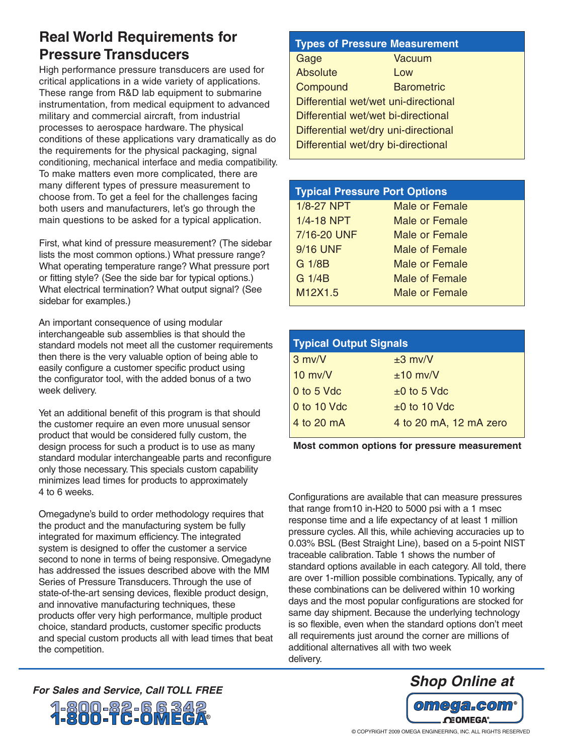### **Real World Requirements for Pressure Transducers**

High performance pressure transducers are used for critical applications in a wide variety of applications. These range from R&D lab equipment to submarine instrumentation, from medical equipment to advanced military and commercial aircraft, from industrial processes to aerospace hardware. The physical conditions of these applications vary dramatically as do the requirements for the physical packaging, signal conditioning, mechanical interface and media compatibility. To make matters even more complicated, there are many different types of pressure measurement to choose from. To get a feel for the challenges facing both users and manufacturers, let's go through the main questions to be asked for a typical application.

First, what kind of pressure measurement? (The sidebar lists the most common options.) What pressure range? What operating temperature range? What pressure port or fitting style? (See the side bar for typical options.) What electrical termination? What output signal? (See sidebar for examples.)

An important consequence of using modular interchangeable sub assemblies is that should the standard models not meet all the customer requirements then there is the very valuable option of being able to easily configure a customer specific product using the configurator tool, with the added bonus of a two week delivery.

Yet an additional benefit of this program is that should the customer require an even more unusual sensor product that would be considered fully custom, the design process for such a product is to use as many standard modular interchangeable parts and reconfigure only those necessary. This specials custom capability minimizes lead times for products to approximately 4 to 6 weeks.

Omegadyne's build to order methodology requires that the product and the manufacturing system be fully integrated for maximum efficiency. The integrated system is designed to offer the customer a service second to none in terms of being responsive. Omegadyne has addressed the issues described above with the MM Series of Pressure Transducers. Through the use of state-of-the-art sensing devices, flexible product design, and innovative manufacturing techniques, these products offer very high performance, multiple product choice, standard products, customer specific products and special custom products all with lead times that beat the competition.

#### **Types of Pressure Measurement**

| Gage                                 | <b>Vacuum</b>     |  |
|--------------------------------------|-------------------|--|
| <b>Absolute</b>                      | Low               |  |
| Compound                             | <b>Barometric</b> |  |
| Differential wet/wet uni-directional |                   |  |
| Differential wet/wet bi-directional  |                   |  |
| Differential wet/dry uni-directional |                   |  |
| Differential wet/dry bi-directional  |                   |  |
|                                      |                   |  |

| <b>Typical Pressure Port Options</b> |                       |  |
|--------------------------------------|-----------------------|--|
| 1/8-27 NPT                           | <b>Male or Female</b> |  |
| 1/4-18 NPT                           | <b>Male or Female</b> |  |
| 7/16-20 UNF                          | <b>Male or Female</b> |  |
| <b>9/16 UNF</b>                      | Male of Female        |  |
| G 1/8B                               | <b>Male or Female</b> |  |
| G 1/4B                               | <b>Male of Female</b> |  |
| M12X1.5                              | <b>Male or Female</b> |  |

| <b>Typical Output Signals</b> |                        |  |
|-------------------------------|------------------------|--|
| $3$ mv/V                      | $±3$ mv/V              |  |
| $10$ mv/V                     | $±10$ mv/V             |  |
| 0 to 5 Vdc                    | $±0$ to 5 Vdc          |  |
| 0 to 10 Vdc                   | $±0$ to 10 Vdc         |  |
| 4 to 20 mA                    | 4 to 20 mA, 12 mA zero |  |

**Most common options for pressure measurement**

Configurations are available that can measure pressures that range from10 in-H20 to 5000 psi with a 1 msec response time and a life expectancy of at least 1 million pressure cycles. All this, while achieving accuracies up to 0.03% BSL (Best Straight Line), based on a 5-point NIST traceable calibration. Table 1 shows the number of standard options available in each category. All told, there are over 1-million possible combinations. Typically, any of these combinations can be delivered within 10 working days and the most popular configurations are stocked for same day shipment. Because the underlying technology is so flexible, even when the standard options don't meet all requirements just around the corner are millions of additional alternatives all with two week delivery.



*Shop Online at For Sales and Service, Call TOLL FREE*